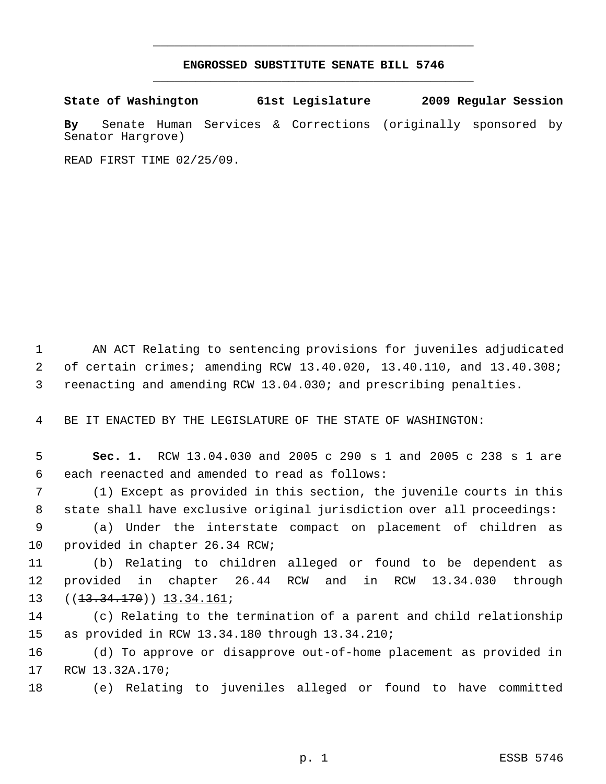## **ENGROSSED SUBSTITUTE SENATE BILL 5746** \_\_\_\_\_\_\_\_\_\_\_\_\_\_\_\_\_\_\_\_\_\_\_\_\_\_\_\_\_\_\_\_\_\_\_\_\_\_\_\_\_\_\_\_\_

\_\_\_\_\_\_\_\_\_\_\_\_\_\_\_\_\_\_\_\_\_\_\_\_\_\_\_\_\_\_\_\_\_\_\_\_\_\_\_\_\_\_\_\_\_

**State of Washington 61st Legislature 2009 Regular Session**

**By** Senate Human Services & Corrections (originally sponsored by Senator Hargrove)

READ FIRST TIME 02/25/09.

 AN ACT Relating to sentencing provisions for juveniles adjudicated of certain crimes; amending RCW 13.40.020, 13.40.110, and 13.40.308; reenacting and amending RCW 13.04.030; and prescribing penalties.

BE IT ENACTED BY THE LEGISLATURE OF THE STATE OF WASHINGTON:

 **Sec. 1.** RCW 13.04.030 and 2005 c 290 s 1 and 2005 c 238 s 1 are each reenacted and amended to read as follows:

 (1) Except as provided in this section, the juvenile courts in this state shall have exclusive original jurisdiction over all proceedings:

 (a) Under the interstate compact on placement of children as provided in chapter 26.34 RCW;

 (b) Relating to children alleged or found to be dependent as provided in chapter 26.44 RCW and in RCW 13.34.030 through 13 ((<del>13.34.170</del>)) <u>13.34.161</u>;

 (c) Relating to the termination of a parent and child relationship as provided in RCW 13.34.180 through 13.34.210;

 (d) To approve or disapprove out-of-home placement as provided in RCW 13.32A.170;

(e) Relating to juveniles alleged or found to have committed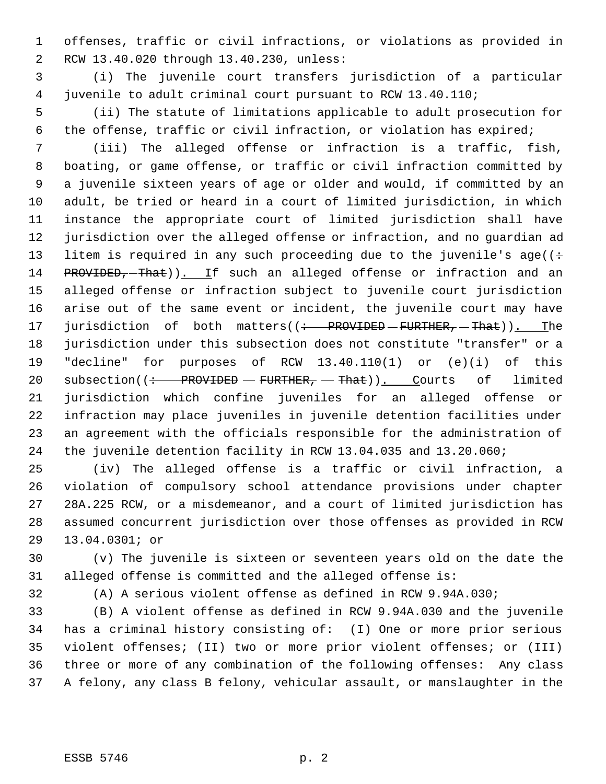offenses, traffic or civil infractions, or violations as provided in RCW 13.40.020 through 13.40.230, unless:

 (i) The juvenile court transfers jurisdiction of a particular juvenile to adult criminal court pursuant to RCW 13.40.110;

 (ii) The statute of limitations applicable to adult prosecution for the offense, traffic or civil infraction, or violation has expired;

 (iii) The alleged offense or infraction is a traffic, fish, boating, or game offense, or traffic or civil infraction committed by a juvenile sixteen years of age or older and would, if committed by an adult, be tried or heard in a court of limited jurisdiction, in which instance the appropriate court of limited jurisdiction shall have jurisdiction over the alleged offense or infraction, and no guardian ad 13 litem is required in any such proceeding due to the juvenile's age( $(+)$ 14 PROVIDED, That)). If such an alleged offense or infraction and an alleged offense or infraction subject to juvenile court jurisdiction arise out of the same event or incident, the juvenile court may have 17 jurisdiction of both matters((: PROVIDED - FURTHER, - That)). The jurisdiction under this subsection does not constitute "transfer" or a "decline" for purposes of RCW 13.40.110(1) or (e)(i) of this 20 subsection( $\frac{+}{+}$  PROVIDED – FURTHER, – That)). Courts of limited jurisdiction which confine juveniles for an alleged offense or infraction may place juveniles in juvenile detention facilities under an agreement with the officials responsible for the administration of the juvenile detention facility in RCW 13.04.035 and 13.20.060;

 (iv) The alleged offense is a traffic or civil infraction, a violation of compulsory school attendance provisions under chapter 28A.225 RCW, or a misdemeanor, and a court of limited jurisdiction has assumed concurrent jurisdiction over those offenses as provided in RCW 13.04.0301; or

 (v) The juvenile is sixteen or seventeen years old on the date the alleged offense is committed and the alleged offense is:

(A) A serious violent offense as defined in RCW 9.94A.030;

 (B) A violent offense as defined in RCW 9.94A.030 and the juvenile has a criminal history consisting of: (I) One or more prior serious violent offenses; (II) two or more prior violent offenses; or (III) three or more of any combination of the following offenses: Any class A felony, any class B felony, vehicular assault, or manslaughter in the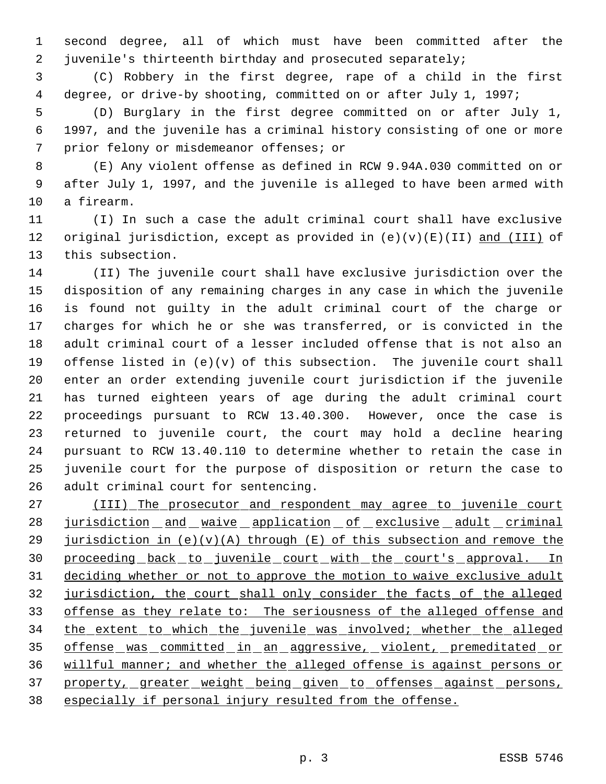second degree, all of which must have been committed after the juvenile's thirteenth birthday and prosecuted separately;

 (C) Robbery in the first degree, rape of a child in the first degree, or drive-by shooting, committed on or after July 1, 1997;

 (D) Burglary in the first degree committed on or after July 1, 1997, and the juvenile has a criminal history consisting of one or more prior felony or misdemeanor offenses; or

 (E) Any violent offense as defined in RCW 9.94A.030 committed on or after July 1, 1997, and the juvenile is alleged to have been armed with a firearm.

 (I) In such a case the adult criminal court shall have exclusive 12 original jurisdiction, except as provided in  $(e)(v)(E)(II)$  and  $(III)$  of this subsection.

 (II) The juvenile court shall have exclusive jurisdiction over the disposition of any remaining charges in any case in which the juvenile is found not guilty in the adult criminal court of the charge or charges for which he or she was transferred, or is convicted in the adult criminal court of a lesser included offense that is not also an offense listed in (e)(v) of this subsection. The juvenile court shall enter an order extending juvenile court jurisdiction if the juvenile has turned eighteen years of age during the adult criminal court proceedings pursuant to RCW 13.40.300. However, once the case is returned to juvenile court, the court may hold a decline hearing pursuant to RCW 13.40.110 to determine whether to retain the case in juvenile court for the purpose of disposition or return the case to adult criminal court for sentencing.

 (III) The prosecutor and respondent may agree to juvenile court 28 jurisdiction and waive application of exclusive adult criminal 29 jurisdiction in  $(e)(v)(A)$  through  $(E)$  of this subsection and remove the proceeding back to juvenile court with the court's approval. In deciding whether or not to approve the motion to waive exclusive adult jurisdiction, the court shall only consider the facts of the alleged offense as they relate to: The seriousness of the alleged offense and 34 the extent to which the juvenile was involved; whether the alleged 35 offense was committed in an aggressive, violent, premeditated or willful manner; and whether the alleged offense is against persons or 37 property, greater weight being given to offenses against persons, especially if personal injury resulted from the offense.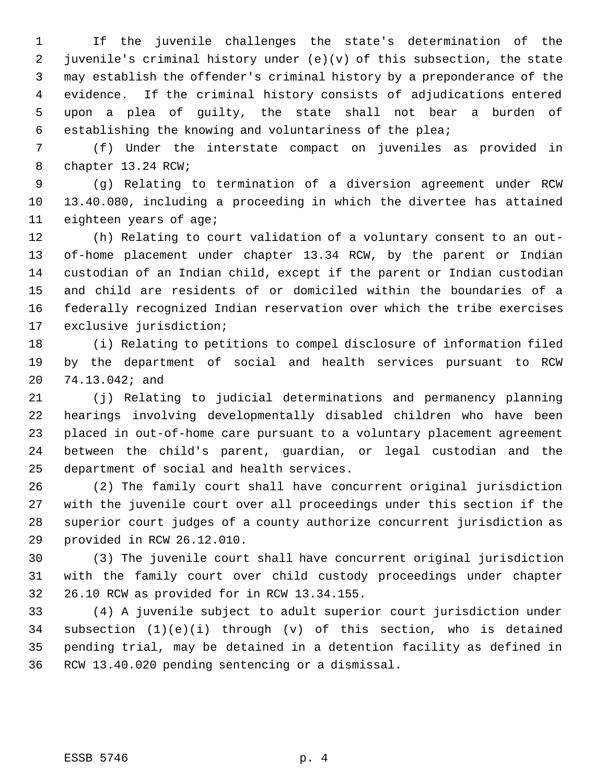If the juvenile challenges the state's determination of the juvenile's criminal history under (e)(v) of this subsection, the state may establish the offender's criminal history by a preponderance of the evidence. If the criminal history consists of adjudications entered upon a plea of guilty, the state shall not bear a burden of establishing the knowing and voluntariness of the plea;

 (f) Under the interstate compact on juveniles as provided in chapter 13.24 RCW;

 (g) Relating to termination of a diversion agreement under RCW 13.40.080, including a proceeding in which the divertee has attained eighteen years of age;

 (h) Relating to court validation of a voluntary consent to an out- of-home placement under chapter 13.34 RCW, by the parent or Indian custodian of an Indian child, except if the parent or Indian custodian and child are residents of or domiciled within the boundaries of a federally recognized Indian reservation over which the tribe exercises exclusive jurisdiction;

 (i) Relating to petitions to compel disclosure of information filed by the department of social and health services pursuant to RCW 74.13.042; and

 (j) Relating to judicial determinations and permanency planning hearings involving developmentally disabled children who have been placed in out-of-home care pursuant to a voluntary placement agreement between the child's parent, guardian, or legal custodian and the department of social and health services.

 (2) The family court shall have concurrent original jurisdiction with the juvenile court over all proceedings under this section if the superior court judges of a county authorize concurrent jurisdiction as provided in RCW 26.12.010.

 (3) The juvenile court shall have concurrent original jurisdiction with the family court over child custody proceedings under chapter 26.10 RCW as provided for in RCW 13.34.155.

 (4) A juvenile subject to adult superior court jurisdiction under subsection (1)(e)(i) through (v) of this section, who is detained pending trial, may be detained in a detention facility as defined in RCW 13.40.020 pending sentencing or a dismissal.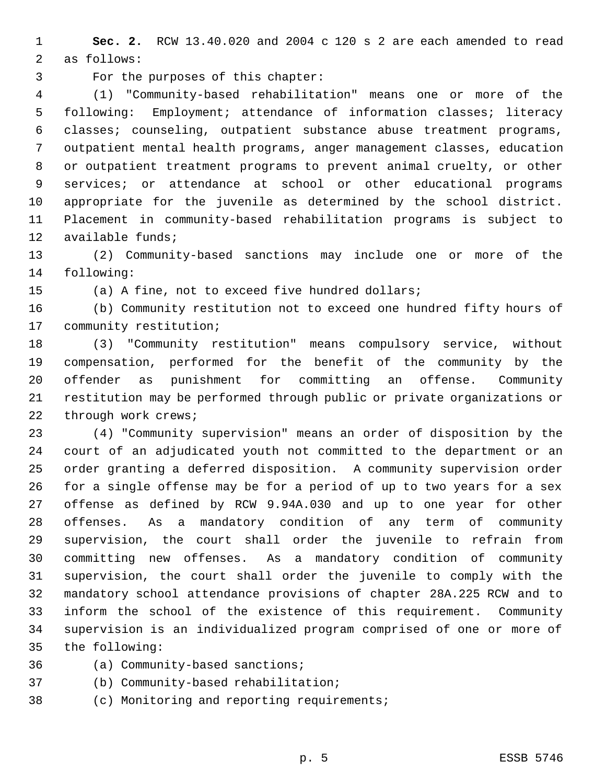**Sec. 2.** RCW 13.40.020 and 2004 c 120 s 2 are each amended to read as follows:

For the purposes of this chapter:

 (1) "Community-based rehabilitation" means one or more of the following: Employment; attendance of information classes; literacy classes; counseling, outpatient substance abuse treatment programs, outpatient mental health programs, anger management classes, education or outpatient treatment programs to prevent animal cruelty, or other services; or attendance at school or other educational programs appropriate for the juvenile as determined by the school district. Placement in community-based rehabilitation programs is subject to available funds;

 (2) Community-based sanctions may include one or more of the following:

(a) A fine, not to exceed five hundred dollars;

 (b) Community restitution not to exceed one hundred fifty hours of community restitution;

 (3) "Community restitution" means compulsory service, without compensation, performed for the benefit of the community by the offender as punishment for committing an offense. Community restitution may be performed through public or private organizations or through work crews;

 (4) "Community supervision" means an order of disposition by the court of an adjudicated youth not committed to the department or an order granting a deferred disposition. A community supervision order for a single offense may be for a period of up to two years for a sex offense as defined by RCW 9.94A.030 and up to one year for other offenses. As a mandatory condition of any term of community supervision, the court shall order the juvenile to refrain from committing new offenses. As a mandatory condition of community supervision, the court shall order the juvenile to comply with the mandatory school attendance provisions of chapter 28A.225 RCW and to inform the school of the existence of this requirement. Community supervision is an individualized program comprised of one or more of the following:

(a) Community-based sanctions;

(b) Community-based rehabilitation;

(c) Monitoring and reporting requirements;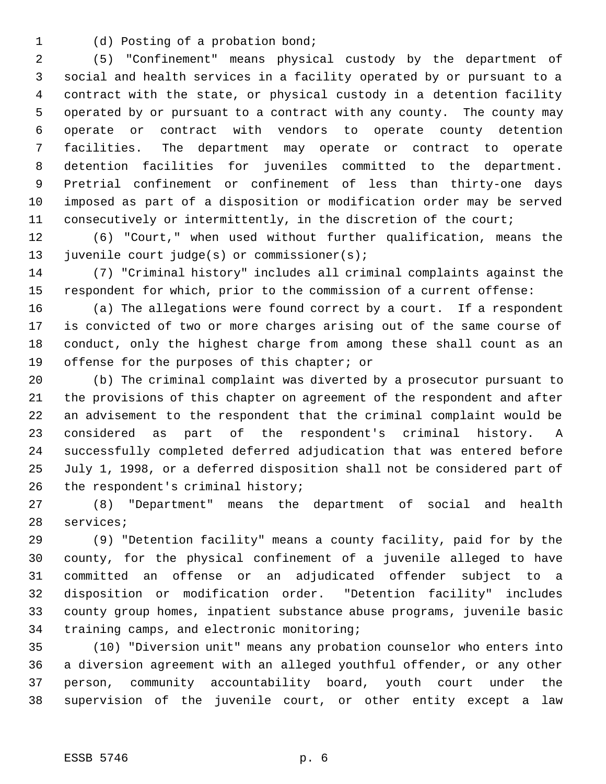- 
- (d) Posting of a probation bond;

 (5) "Confinement" means physical custody by the department of social and health services in a facility operated by or pursuant to a contract with the state, or physical custody in a detention facility operated by or pursuant to a contract with any county. The county may operate or contract with vendors to operate county detention facilities. The department may operate or contract to operate detention facilities for juveniles committed to the department. Pretrial confinement or confinement of less than thirty-one days imposed as part of a disposition or modification order may be served consecutively or intermittently, in the discretion of the court;

 (6) "Court," when used without further qualification, means the juvenile court judge(s) or commissioner(s);

 (7) "Criminal history" includes all criminal complaints against the respondent for which, prior to the commission of a current offense:

 (a) The allegations were found correct by a court. If a respondent is convicted of two or more charges arising out of the same course of conduct, only the highest charge from among these shall count as an offense for the purposes of this chapter; or

 (b) The criminal complaint was diverted by a prosecutor pursuant to the provisions of this chapter on agreement of the respondent and after an advisement to the respondent that the criminal complaint would be considered as part of the respondent's criminal history. A successfully completed deferred adjudication that was entered before July 1, 1998, or a deferred disposition shall not be considered part of 26 the respondent's criminal history;

 (8) "Department" means the department of social and health services;

 (9) "Detention facility" means a county facility, paid for by the county, for the physical confinement of a juvenile alleged to have committed an offense or an adjudicated offender subject to a disposition or modification order. "Detention facility" includes county group homes, inpatient substance abuse programs, juvenile basic training camps, and electronic monitoring;

 (10) "Diversion unit" means any probation counselor who enters into a diversion agreement with an alleged youthful offender, or any other person, community accountability board, youth court under the supervision of the juvenile court, or other entity except a law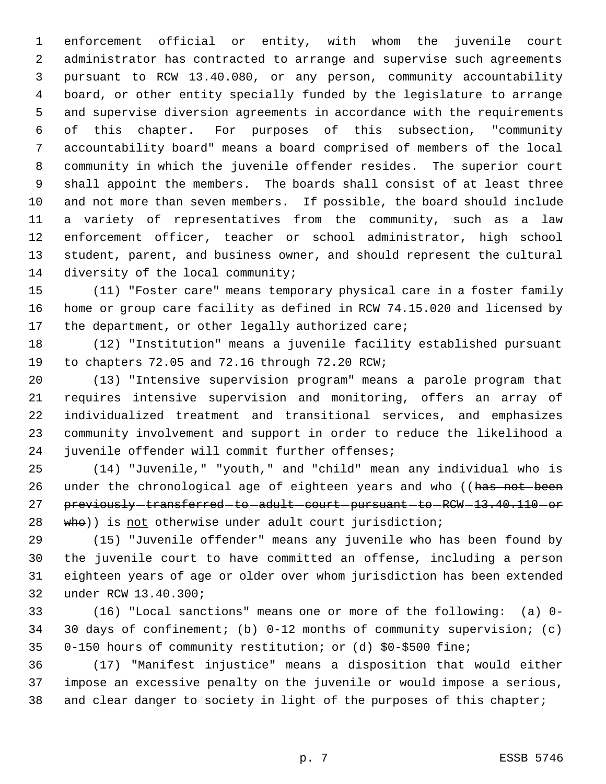enforcement official or entity, with whom the juvenile court administrator has contracted to arrange and supervise such agreements pursuant to RCW 13.40.080, or any person, community accountability board, or other entity specially funded by the legislature to arrange and supervise diversion agreements in accordance with the requirements of this chapter. For purposes of this subsection, "community accountability board" means a board comprised of members of the local community in which the juvenile offender resides. The superior court shall appoint the members. The boards shall consist of at least three and not more than seven members. If possible, the board should include a variety of representatives from the community, such as a law enforcement officer, teacher or school administrator, high school student, parent, and business owner, and should represent the cultural 14 diversity of the local community;

 (11) "Foster care" means temporary physical care in a foster family home or group care facility as defined in RCW 74.15.020 and licensed by the department, or other legally authorized care;

 (12) "Institution" means a juvenile facility established pursuant to chapters 72.05 and 72.16 through 72.20 RCW;

 (13) "Intensive supervision program" means a parole program that requires intensive supervision and monitoring, offers an array of individualized treatment and transitional services, and emphasizes community involvement and support in order to reduce the likelihood a juvenile offender will commit further offenses;

 (14) "Juvenile," "youth," and "child" mean any individual who is 26 under the chronological age of eighteen years and who ((has not been 27 previously-transferred-to-adult-court-pursuant-to-RCW-13.40.110-or 28 who)) is not otherwise under adult court jurisdiction;

 (15) "Juvenile offender" means any juvenile who has been found by the juvenile court to have committed an offense, including a person eighteen years of age or older over whom jurisdiction has been extended under RCW 13.40.300;

 (16) "Local sanctions" means one or more of the following: (a) 0- 30 days of confinement; (b) 0-12 months of community supervision; (c) 0-150 hours of community restitution; or (d) \$0-\$500 fine;

 (17) "Manifest injustice" means a disposition that would either impose an excessive penalty on the juvenile or would impose a serious, 38 and clear danger to society in light of the purposes of this chapter;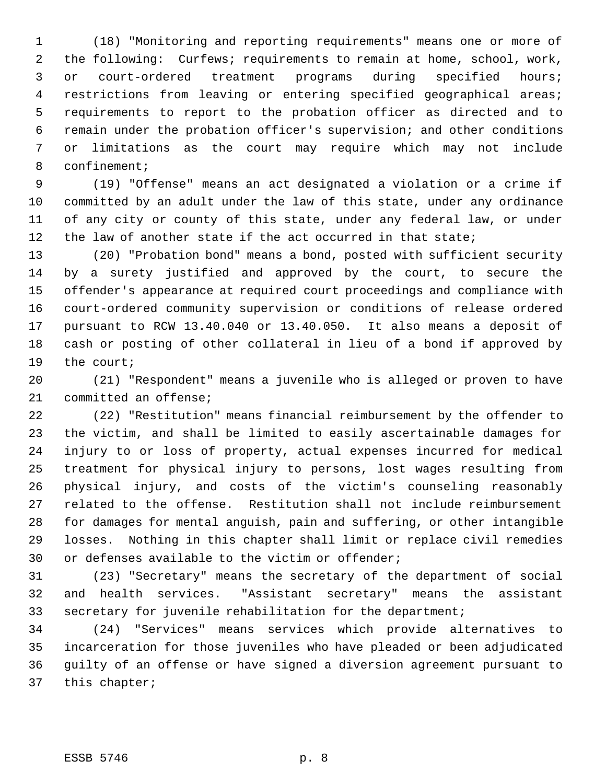(18) "Monitoring and reporting requirements" means one or more of the following: Curfews; requirements to remain at home, school, work, or court-ordered treatment programs during specified hours; restrictions from leaving or entering specified geographical areas; requirements to report to the probation officer as directed and to remain under the probation officer's supervision; and other conditions or limitations as the court may require which may not include confinement;

 (19) "Offense" means an act designated a violation or a crime if committed by an adult under the law of this state, under any ordinance of any city or county of this state, under any federal law, or under 12 the law of another state if the act occurred in that state;

 (20) "Probation bond" means a bond, posted with sufficient security by a surety justified and approved by the court, to secure the offender's appearance at required court proceedings and compliance with court-ordered community supervision or conditions of release ordered pursuant to RCW 13.40.040 or 13.40.050. It also means a deposit of cash or posting of other collateral in lieu of a bond if approved by the court;

 (21) "Respondent" means a juvenile who is alleged or proven to have committed an offense;

 (22) "Restitution" means financial reimbursement by the offender to the victim, and shall be limited to easily ascertainable damages for injury to or loss of property, actual expenses incurred for medical treatment for physical injury to persons, lost wages resulting from physical injury, and costs of the victim's counseling reasonably related to the offense. Restitution shall not include reimbursement for damages for mental anguish, pain and suffering, or other intangible losses. Nothing in this chapter shall limit or replace civil remedies or defenses available to the victim or offender;

 (23) "Secretary" means the secretary of the department of social and health services. "Assistant secretary" means the assistant secretary for juvenile rehabilitation for the department;

 (24) "Services" means services which provide alternatives to incarceration for those juveniles who have pleaded or been adjudicated guilty of an offense or have signed a diversion agreement pursuant to this chapter;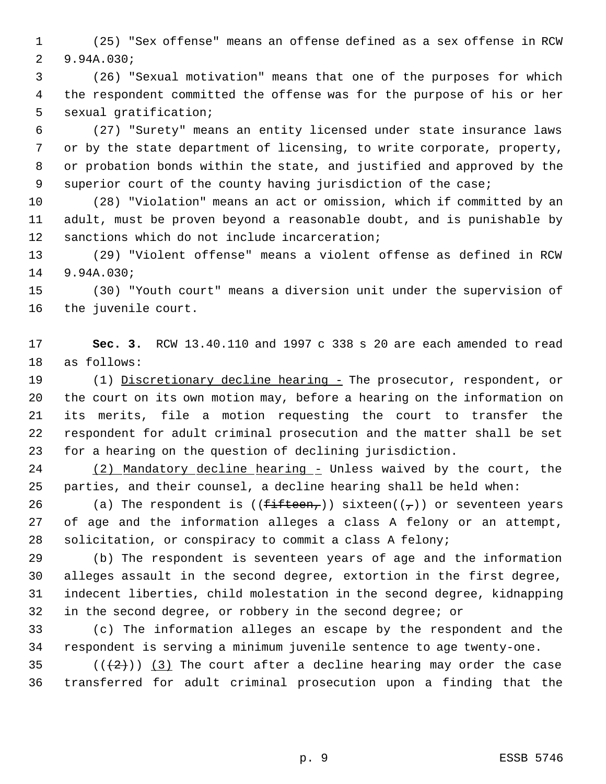(25) "Sex offense" means an offense defined as a sex offense in RCW 9.94A.030;

 (26) "Sexual motivation" means that one of the purposes for which the respondent committed the offense was for the purpose of his or her sexual gratification;

 (27) "Surety" means an entity licensed under state insurance laws or by the state department of licensing, to write corporate, property, or probation bonds within the state, and justified and approved by the superior court of the county having jurisdiction of the case;

 (28) "Violation" means an act or omission, which if committed by an adult, must be proven beyond a reasonable doubt, and is punishable by sanctions which do not include incarceration;

 (29) "Violent offense" means a violent offense as defined in RCW 9.94A.030;

 (30) "Youth court" means a diversion unit under the supervision of the juvenile court.

 **Sec. 3.** RCW 13.40.110 and 1997 c 338 s 20 are each amended to read as follows:

19 (1) Discretionary decline hearing - The prosecutor, respondent, or the court on its own motion may, before a hearing on the information on its merits, file a motion requesting the court to transfer the respondent for adult criminal prosecution and the matter shall be set for a hearing on the question of declining jurisdiction.

24 (2) Mandatory decline hearing - Unless waived by the court, the parties, and their counsel, a decline hearing shall be held when:

26 (a) The respondent is ( $(f$ ifteen,)) sixteen( $(\tau)$ ) or seventeen years of age and the information alleges a class A felony or an attempt, solicitation, or conspiracy to commit a class A felony;

 (b) The respondent is seventeen years of age and the information alleges assault in the second degree, extortion in the first degree, indecent liberties, child molestation in the second degree, kidnapping in the second degree, or robbery in the second degree; or

 (c) The information alleges an escape by the respondent and the respondent is serving a minimum juvenile sentence to age twenty-one.

35  $((+2))$   $(3)$  The court after a decline hearing may order the case transferred for adult criminal prosecution upon a finding that the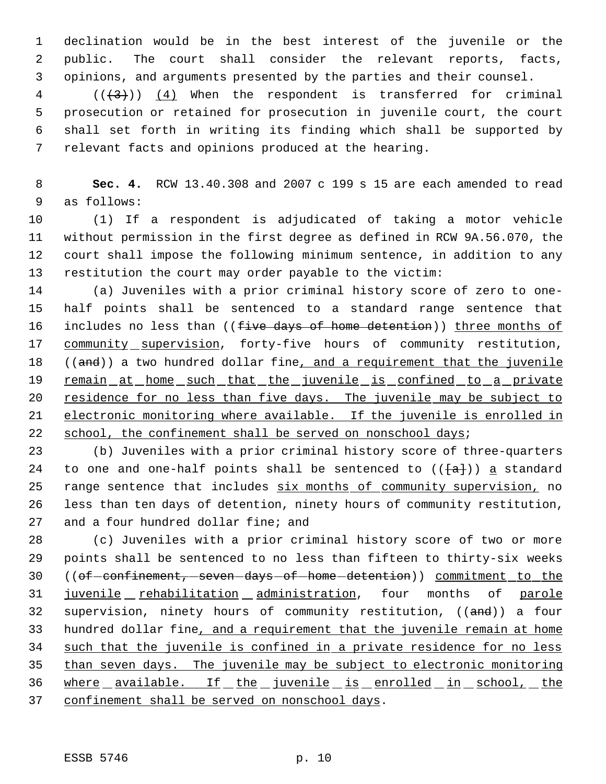declination would be in the best interest of the juvenile or the public. The court shall consider the relevant reports, facts, opinions, and arguments presented by the parties and their counsel.

 (( $\left(\frac{4}{3}\right)$ ) (4) When the respondent is transferred for criminal prosecution or retained for prosecution in juvenile court, the court shall set forth in writing its finding which shall be supported by relevant facts and opinions produced at the hearing.

 **Sec. 4.** RCW 13.40.308 and 2007 c 199 s 15 are each amended to read as follows:

 (1) If a respondent is adjudicated of taking a motor vehicle without permission in the first degree as defined in RCW 9A.56.070, the court shall impose the following minimum sentence, in addition to any restitution the court may order payable to the victim:

 (a) Juveniles with a prior criminal history score of zero to one- half points shall be sentenced to a standard range sentence that 16 includes no less than ((five days of home detention)) three months of 17 community supervision, forty-five hours of community restitution, 18 ((and)) a two hundred dollar fine, and a requirement that the juvenile 19 remain at home such that the juvenile is confined to a private 20 residence for no less than five days. The juvenile may be subject to electronic monitoring where available. If the juvenile is enrolled in 22 school, the confinement shall be served on nonschool days;

 (b) Juveniles with a prior criminal history score of three-quarters 24 to one and one-half points shall be sentenced to  $((a+1)^2)$  a standard 25 range sentence that includes six months of community supervision, no less than ten days of detention, ninety hours of community restitution, and a four hundred dollar fine; and

 (c) Juveniles with a prior criminal history score of two or more points shall be sentenced to no less than fifteen to thirty-six weeks 30 ((of confinement, seven days of home detention)) commitment to the 31 juvenile rehabilitation administration, four months of parole 32 supervision, ninety hours of community restitution, ((and)) a four hundred dollar fine, and a requirement that the juvenile remain at home 34 such that the juvenile is confined in a private residence for no less than seven days. The juvenile may be subject to electronic monitoring 36 where available. If the juvenile is enrolled in school, the 37 confinement shall be served on nonschool days.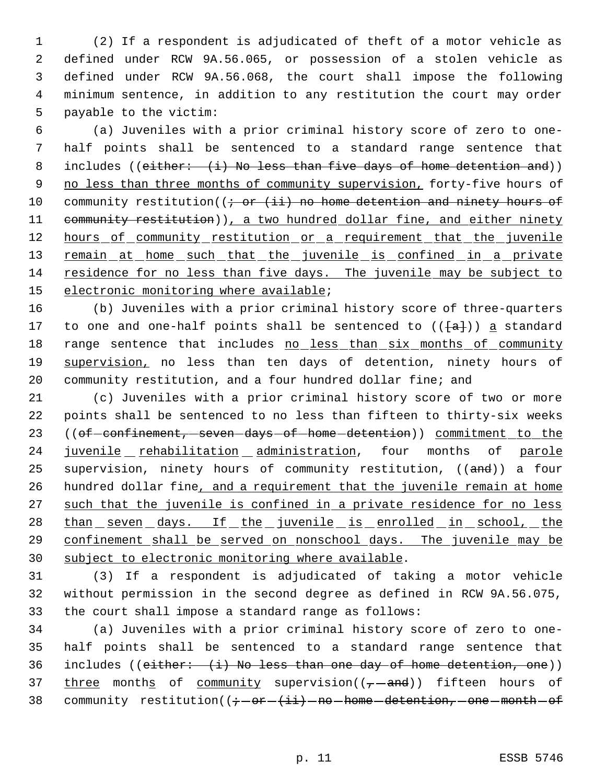(2) If a respondent is adjudicated of theft of a motor vehicle as defined under RCW 9A.56.065, or possession of a stolen vehicle as defined under RCW 9A.56.068, the court shall impose the following minimum sentence, in addition to any restitution the court may order payable to the victim:

 6 (a) Juveniles with a prior criminal history score of zero to one- 7 half points shall be sentenced to a standard range sentence that 8 includes ((either: (i) No less than five days of home detention and)) 9 no less than three months of community supervision, forty-five hours of 10 community restitution( $(i - or (ii)$  no home detention and ninety hours of 11 community restitution)), a two hundred dollar fine, and either ninety 12 hours of community restitution or a requirement that the juvenile 13 remain at home such that the juvenile is confined in a private 14 residence for no less than five days. The juvenile may be subject to 15 electronic monitoring where available;

16 (b) Juveniles with a prior criminal history score of three-quarters 17 to one and one-half points shall be sentenced to  $((a+1))$  a standard 18 range sentence that includes no less than six months of community 19 supervision, no less than ten days of detention, ninety hours of 20 community restitution, and a four hundred dollar fine; and

21 (c) Juveniles with a prior criminal history score of two or more 22 points shall be sentenced to no less than fifteen to thirty-six weeks 23 ((of confinement, seven days of home detention)) commitment to the 24 juvenile rehabilitation administration, four months of parole 25 supervision, ninety hours of community restitution, ((and)) a four 26 hundred dollar fine, and a requirement that the juvenile remain at home 27 such that the juvenile is confined in a private residence for no less 28 than seven days. If the juvenile is enrolled in school, the 29 confinement shall be served on nonschool days. The juvenile may be 30 subject to electronic monitoring where available.

31 (3) If a respondent is adjudicated of taking a motor vehicle 32 without permission in the second degree as defined in RCW 9A.56.075, 33 the court shall impose a standard range as follows:

34 (a) Juveniles with a prior criminal history score of zero to one-35 half points shall be sentenced to a standard range sentence that 36 includes (( $e$ ither:  $(i)$ ) No less than one day of home detention, one)) 37 three months of community supervision( $(-$ and)) fifteen hours of 38 community restitution( $(i - or - (i + i) - no - home - determination, -one - month - of$